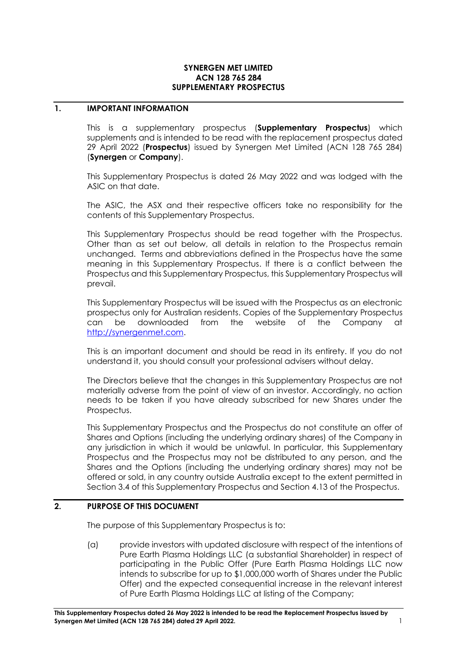#### **SYNERGEN MET LIMITED ACN 128 765 284 SUPPLEMENTARY PROSPECTUS**

## **1. IMPORTANT INFORMATION**

This is a supplementary prospectus (**Supplementary Prospectus**) which supplements and is intended to be read with the replacement prospectus dated 29 April 2022 (**Prospectus**) issued by Synergen Met Limited (ACN 128 765 284) (**Synergen** or **Company**).

This Supplementary Prospectus is dated 26 May 2022 and was lodged with the ASIC on that date.

The ASIC, the ASX and their respective officers take no responsibility for the contents of this Supplementary Prospectus.

This Supplementary Prospectus should be read together with the Prospectus. Other than as set out below, all details in relation to the Prospectus remain unchanged. Terms and abbreviations defined in the Prospectus have the same meaning in this Supplementary Prospectus. If there is a conflict between the Prospectus and this Supplementary Prospectus, this Supplementary Prospectus will prevail.

This Supplementary Prospectus will be issued with the Prospectus as an electronic prospectus only for Australian residents. Copies of the Supplementary Prospectus can be downloaded from the website of the Company at [http://synergenmet.com.](http://synergenmet.com/)

This is an important document and should be read in its entirety. If you do not understand it, you should consult your professional advisers without delay.

The Directors believe that the changes in this Supplementary Prospectus are not materially adverse from the point of view of an investor. Accordingly, no action needs to be taken if you have already subscribed for new Shares under the Prospectus.

This Supplementary Prospectus and the Prospectus do not constitute an offer of Shares and Options (including the underlying ordinary shares) of the Company in any jurisdiction in which it would be unlawful. In particular, this Supplementary Prospectus and the Prospectus may not be distributed to any person, and the Shares and the Options (including the underlying ordinary shares) may not be offered or sold, in any country outside Australia except to the extent permitted in Section 3.4 of this Supplementary Prospectus and Section 4.13 of the Prospectus.

## **2. PURPOSE OF THIS DOCUMENT**

The purpose of this Supplementary Prospectus is to:

(a) provide investors with updated disclosure with respect of the intentions of Pure Earth Plasma Holdings LLC (a substantial Shareholder) in respect of participating in the Public Offer (Pure Earth Plasma Holdings LLC now intends to subscribe for up to \$1,000,000 worth of Shares under the Public Offer) and the expected consequential increase in the relevant interest of Pure Earth Plasma Holdings LLC at listing of the Company;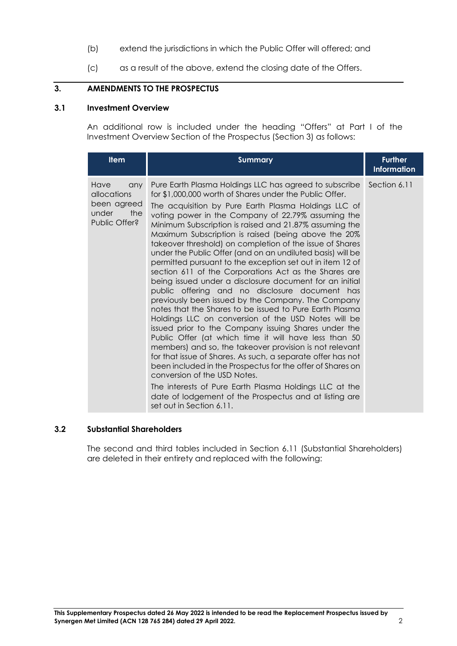- (b) extend the jurisdictions in which the Public Offer will offered; and
- (c) as a result of the above, extend the closing date of the Offers.

# **3. AMENDMENTS TO THE PROSPECTUS**

#### **3.1 Investment Overview**

An additional row is included under the heading "Offers" at Part I of the Investment Overview Section of the Prospectus (Section 3) as follows:

| <b>Item</b>                                                                | <b>Summary</b>                                                                                                                                                                                                                                                                                                                                                                                                                                                                                                                                                                                                                                                                                                                                                                                                                                                                                                                                                                                                                                                                                                                                                                                                                                                                                                                                                                 | <b>Further</b><br><b>Information</b> |
|----------------------------------------------------------------------------|--------------------------------------------------------------------------------------------------------------------------------------------------------------------------------------------------------------------------------------------------------------------------------------------------------------------------------------------------------------------------------------------------------------------------------------------------------------------------------------------------------------------------------------------------------------------------------------------------------------------------------------------------------------------------------------------------------------------------------------------------------------------------------------------------------------------------------------------------------------------------------------------------------------------------------------------------------------------------------------------------------------------------------------------------------------------------------------------------------------------------------------------------------------------------------------------------------------------------------------------------------------------------------------------------------------------------------------------------------------------------------|--------------------------------------|
| Have<br>any<br>allocations<br>been agreed<br>under<br>the<br>Public Offer? | Pure Earth Plasma Holdings LLC has agreed to subscribe<br>for \$1,000,000 worth of Shares under the Public Offer.<br>The acquisition by Pure Earth Plasma Holdings LLC of<br>voting power in the Company of 22.79% assuming the<br>Minimum Subscription is raised and 21.87% assuming the<br>Maximum Subscription is raised (being above the 20%<br>takeover threshold) on completion of the issue of Shares<br>under the Public Offer (and on an undiluted basis) will be<br>permitted pursuant to the exception set out in item 12 of<br>section 611 of the Corporations Act as the Shares are<br>being issued under a disclosure document for an initial<br>public offering and no disclosure document has<br>previously been issued by the Company. The Company<br>notes that the Shares to be issued to Pure Earth Plasma<br>Holdings LLC on conversion of the USD Notes will be<br>issued prior to the Company issuing Shares under the<br>Public Offer (at which time it will have less than 50<br>members) and so, the takeover provision is not relevant<br>for that issue of Shares. As such, a separate offer has not<br>been included in the Prospectus for the offer of Shares on<br>conversion of the USD Notes.<br>The interests of Pure Earth Plasma Holdings LLC at the<br>date of lodgement of the Prospectus and at listing are<br>set out in Section 6.11. | Section 6.11                         |

## **3.2 Substantial Shareholders**

The second and third tables included in Section 6.11 (Substantial Shareholders) are deleted in their entirety and replaced with the following: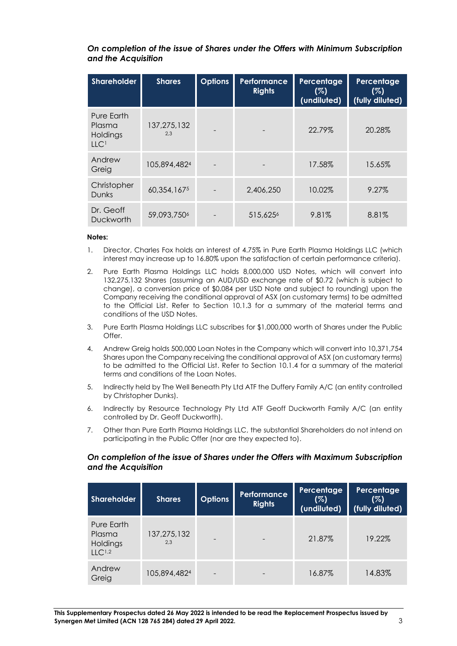| On completion of the issue of Shares under the Offers with Minimum Subscription |  |  |
|---------------------------------------------------------------------------------|--|--|
| and the Acquisition                                                             |  |  |

| <b>Shareholder</b>                                   | <b>Shares</b>           | <b>Options</b> | <b>Performance</b><br><b>Rights</b> | Percentage<br>(%)<br>(undiluted) | Percentage<br>(%)<br>(fully diluted) |
|------------------------------------------------------|-------------------------|----------------|-------------------------------------|----------------------------------|--------------------------------------|
| Pure Earth<br>Plasma<br>Holdings<br>LLC <sup>1</sup> | 137,275,132<br>2,3      |                |                                     | 22.79%                           | 20.28%                               |
| Andrew<br>Greig                                      | 105,894,4824            |                |                                     | 17.58%                           | 15.65%                               |
| Christopher<br><b>Dunks</b>                          | 60,354,1675             |                | 2,406,250                           | 10.02%                           | 9.27%                                |
| Dr. Geoff<br>Duckworth                               | 59,093,750 <sup>6</sup> |                | 515,625 <sup>6</sup>                | 9.81%                            | 8.81%                                |

#### **Notes:**

- 1. Director, Charles Fox holds an interest of 4.75% in Pure Earth Plasma Holdings LLC (which interest may increase up to 16.80% upon the satisfaction of certain performance criteria).
- 2. Pure Earth Plasma Holdings LLC holds 8,000,000 USD Notes, which will convert into 132,275,132 Shares (assuming an AUD/USD exchange rate of \$0.72 (which is subject to change), a conversion price of \$0.084 per USD Note and subject to rounding) upon the Company receiving the conditional approval of ASX (on customary terms) to be admitted to the Official List. Refer to Section 10.1.3 for a summary of the material terms and conditions of the USD Notes.
- 3. Pure Earth Plasma Holdings LLC subscribes for \$1,000,000 worth of Shares under the Public Offer.
- 4. Andrew Greig holds 500,000 Loan Notes in the Company which will convert into 10,371,754 Shares upon the Company receiving the conditional approval of ASX (on customary terms) to be admitted to the Official List. Refer to Section 10.1.4 for a summary of the material terms and conditions of the Loan Notes.
- 5. Indirectly held by The Well Beneath Pty Ltd ATF the Duffery Family A/C (an entity controlled by Christopher Dunks).
- 6. Indirectly by Resource Technology Pty Ltd ATF Geoff Duckworth Family A/C (an entity controlled by Dr. Geoff Duckworth).
- 7. Other than Pure Earth Plasma Holdings LLC, the substantial Shareholders do not intend on participating in the Public Offer (nor are they expected to).

#### *On completion of the issue of Shares under the Offers with Maximum Subscription and the Acquisition*

| Shareholder                                     | <b>Shares</b>      | <b>Options</b>           | <b>Performance</b><br><b>Rights</b> | Percentage<br>(%)<br>(undiluted) | Percentage<br>(%)<br>(fully diluted) |
|-------------------------------------------------|--------------------|--------------------------|-------------------------------------|----------------------------------|--------------------------------------|
| Pure Earth<br>Plasma<br>Holdings<br>$11C^{1,2}$ | 137,275,132<br>2.3 |                          | $\overline{\phantom{0}}$            | 21.87%                           | 19.22%                               |
| Andrew<br>Greig                                 | 105,894,4824       | $\overline{\phantom{0}}$ | $\qquad \qquad$                     | 16.87%                           | 14.83%                               |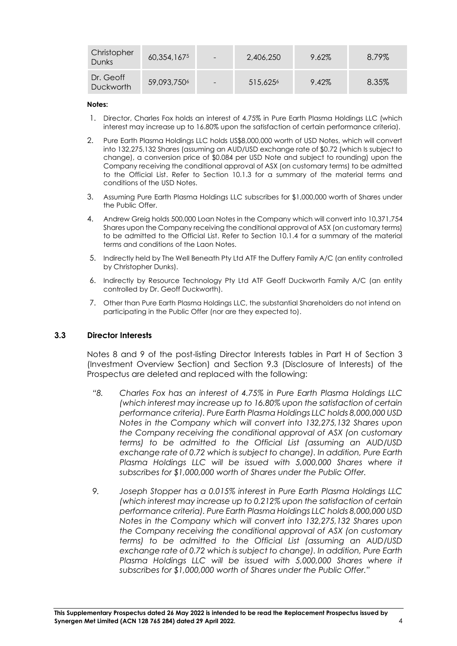| Christopher<br>Dunks   | 60,354,1675 | $\overline{\phantom{a}}$ | 2,406,250            | 9.62% | 8.79% |
|------------------------|-------------|--------------------------|----------------------|-------|-------|
| Dr. Geoff<br>Duckworth | 59,093,7506 | $\overline{\phantom{0}}$ | 515,625 <sup>6</sup> | 9.42% | 8.35% |

#### **Notes:**

- 1. Director, Charles Fox holds an interest of 4.75% in Pure Earth Plasma Holdings LLC (which interest may increase up to 16.80% upon the satisfaction of certain performance criteria).
- 2. Pure Earth Plasma Holdings LLC holds US\$8,000,000 worth of USD Notes, which will convert into 132,275,132 Shares (assuming an AUD/USD exchange rate of \$0.72 (which Is subject to change), a conversion price of \$0.084 per USD Note and subject to rounding) upon the Company receiving the conditional approval of ASX (on customary terms) to be admitted to the Official List. Refer to Section 10.1.3 for a summary of the material terms and conditions of the USD Notes.
- 3. Assuming Pure Earth Plasma Holdings LLC subscribes for \$1,000,000 worth of Shares under the Public Offer.
- 4. Andrew Greig holds 500,000 Loan Notes in the Company which will convert into 10,371,754 Shares upon the Company receiving the conditional approval of ASX (on customary terms) to be admitted to the Official List. Refer to Section 10.1.4 for a summary of the material terms and conditions of the Laon Notes.
- 5. Indirectly held by The Well Beneath Pty Ltd ATF the Duffery Family A/C (an entity controlled by Christopher Dunks).
- 6. Indirectly by Resource Technology Pty Ltd ATF Geoff Duckworth Family A/C (an entity controlled by Dr. Geoff Duckworth).
- 7. Other than Pure Earth Plasma Holdings LLC, the substantial Shareholders do not intend on participating in the Public Offer (nor are they expected to).

#### **3.3 Director Interests**

Notes 8 and 9 of the post-listing Director Interests tables in Part H of Section 3 (Investment Overview Section) and Section 9.3 (Disclosure of Interests) of the Prospectus are deleted and replaced with the following:

- *"8. Charles Fox has an interest of 4.75% in Pure Earth Plasma Holdings LLC (which interest may increase up to 16.80% upon the satisfaction of certain performance criteria). Pure Earth Plasma Holdings LLC holds 8,000,000 USD Notes in the Company which will convert into 132,275,132 Shares upon the Company receiving the conditional approval of ASX (on customary terms) to be admitted to the Official List (assuming an AUD/USD exchange rate of 0.72 which is subject to change). In addition, Pure Earth*  Plasma Holdings LLC will be issued with 5,000,000 Shares where it *subscribes for \$1,000,000 worth of Shares under the Public Offer.*
- *9. Joseph Stopper has a 0.015% interest in Pure Earth Plasma Holdings LLC (which interest may increase up to 0.212% upon the satisfaction of certain performance criteria). Pure Earth Plasma Holdings LLC holds 8,000,000 USD Notes in the Company which will convert into 132,275,132 Shares upon the Company receiving the conditional approval of ASX (on customary terms) to be admitted to the Official List (assuming an AUD/USD exchange rate of 0.72 which is subject to change). In addition, Pure Earth*  Plasma Holdings LLC will be issued with 5,000,000 Shares where it *subscribes for \$1,000,000 worth of Shares under the Public Offer."*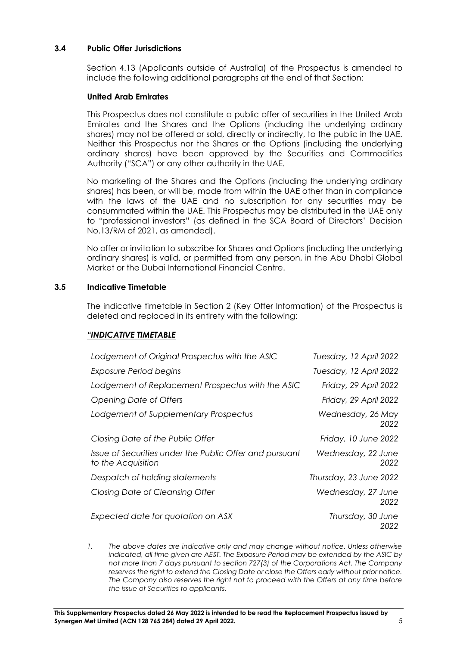# **3.4 Public Offer Jurisdictions**

Section 4.13 (Applicants outside of Australia) of the Prospectus is amended to include the following additional paragraphs at the end of that Section:

## **United Arab Emirates**

This Prospectus does not constitute a public offer of securities in the United Arab Emirates and the Shares and the Options (including the underlying ordinary shares) may not be offered or sold, directly or indirectly, to the public in the UAE. Neither this Prospectus nor the Shares or the Options (including the underlying ordinary shares) have been approved by the Securities and Commodities Authority ("SCA") or any other authority in the UAE.

No marketing of the Shares and the Options (including the underlying ordinary shares) has been, or will be, made from within the UAE other than in compliance with the laws of the UAE and no subscription for any securities may be consummated within the UAE. This Prospectus may be distributed in the UAE only to "professional investors" (as defined in the SCA Board of Directors' Decision No.13/RM of 2021, as amended).

No offer or invitation to subscribe for Shares and Options (including the underlying ordinary shares) is valid, or permitted from any person, in the Abu Dhabi Global Market or the Dubai International Financial Centre.

#### **3.5 Indicative Timetable**

The indicative timetable in Section 2 (Key Offer Information) of the Prospectus is deleted and replaced in its entirety with the following:

## *"INDICATIVE TIMETABLE*

| Lodgement of Original Prospectus with the ASIC                                | Tuesday, 12 April 2022     |
|-------------------------------------------------------------------------------|----------------------------|
| Exposure Period begins                                                        | Tuesday, 12 April 2022     |
| Lodgement of Replacement Prospectus with the ASIC                             | Friday, 29 April 2022      |
| Opening Date of Offers                                                        | Friday, 29 April 2022      |
| Lodgement of Supplementary Prospectus                                         | Wednesday, 26 May<br>2022  |
| Closing Date of the Public Offer                                              | Friday, 10 June 2022       |
| Issue of Securities under the Public Offer and pursuant<br>to the Acquisition | Wednesday, 22 June<br>2022 |
| Despatch of holding statements                                                | Thursday, 23 June 2022     |
| Closing Date of Cleansing Offer                                               | Wednesday, 27 June<br>2022 |
| Expected date for quotation on ASX                                            | Thursday, 30 June<br>2022  |

*1. The above dates are indicative only and may change without notice. Unless otherwise indicated, all time given are AEST. The Exposure Period may be extended by the ASIC by not more than 7 days pursuant to section 727(3) of the Corporations Act. The Company reserves the right to extend the Closing Date or close the Offers early without prior notice. The Company also reserves the right not to proceed with the Offers at any time before the issue of Securities to applicants.*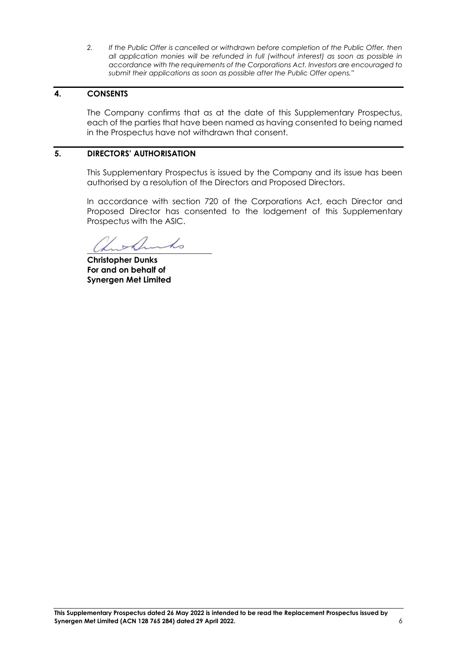*2. If the Public Offer is cancelled or withdrawn before completion of the Public Offer, then all application monies will be refunded in full (without interest) as soon as possible in accordance with the requirements of the Corporations Act. Investors are encouraged to submit their applications as soon as possible after the Public Offer opens."*

# **4. CONSENTS**

The Company confirms that as at the date of this Supplementary Prospectus, each of the parties that have been named as having consented to being named in the Prospectus have not withdrawn that consent.

# **5. DIRECTORS' AUTHORISATION**

This Supplementary Prospectus is issued by the Company and its issue has been authorised by a resolution of the Directors and Proposed Directors.

In accordance with section 720 of the Corporations Act, each Director and Proposed Director has consented to the lodgement of this Supplementary Prospectus with the ASIC.

 $\mu$  and  $\nu$  and  $\omega$ 

**Christopher Dunks For and on behalf of Synergen Met Limited**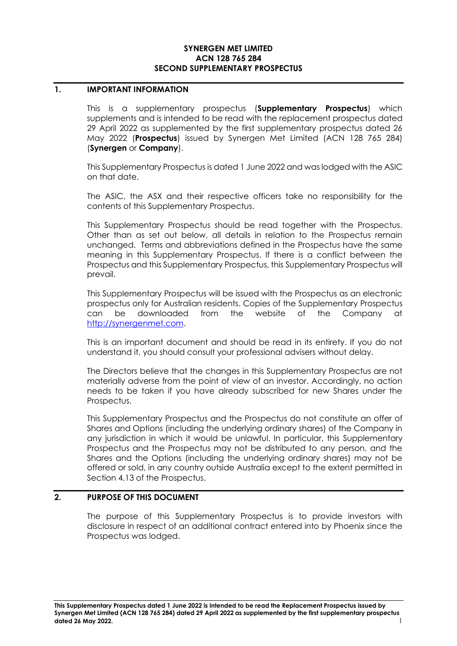#### **SYNERGEN MET LIMITED ACN 128 765 284 SECOND SUPPLEMENTARY PROSPECTUS**

#### **1. IMPORTANT INFORMATION**

This is a supplementary prospectus (**Supplementary Prospectus**) which supplements and is intended to be read with the replacement prospectus dated 29 April 2022 as supplemented by the first supplementary prospectus dated 26 May 2022 (**Prospectus**) issued by Synergen Met Limited (ACN 128 765 284) (**Synergen** or **Company**).

This Supplementary Prospectus is dated 1 June 2022 and was lodged with the ASIC on that date.

The ASIC, the ASX and their respective officers take no responsibility for the contents of this Supplementary Prospectus.

This Supplementary Prospectus should be read together with the Prospectus. Other than as set out below, all details in relation to the Prospectus remain unchanged. Terms and abbreviations defined in the Prospectus have the same meaning in this Supplementary Prospectus. If there is a conflict between the Prospectus and this Supplementary Prospectus, this Supplementary Prospectus will prevail.

This Supplementary Prospectus will be issued with the Prospectus as an electronic prospectus only for Australian residents. Copies of the Supplementary Prospectus can be downloaded from the website of the Company at [http://synergenmet.com.](http://synergenmet.com/)

This is an important document and should be read in its entirety. If you do not understand it, you should consult your professional advisers without delay.

The Directors believe that the changes in this Supplementary Prospectus are not materially adverse from the point of view of an investor. Accordingly, no action needs to be taken if you have already subscribed for new Shares under the Prospectus.

This Supplementary Prospectus and the Prospectus do not constitute an offer of Shares and Options (including the underlying ordinary shares) of the Company in any jurisdiction in which it would be unlawful. In particular, this Supplementary Prospectus and the Prospectus may not be distributed to any person, and the Shares and the Options (including the underlying ordinary shares) may not be offered or sold, in any country outside Australia except to the extent permitted in Section 4.13 of the Prospectus.

## **2. PURPOSE OF THIS DOCUMENT**

The purpose of this Supplementary Prospectus is to provide investors with disclosure in respect of an additional contract entered into by Phoenix since the Prospectus was lodged.

**This Supplementary Prospectus dated 1 June 2022 is intended to be read the Replacement Prospectus issued by Synergen Met Limited (ACN 128 765 284) dated 29 April 2022 as supplemented by the first supplementary prospectus dated 26 May 2022.** 1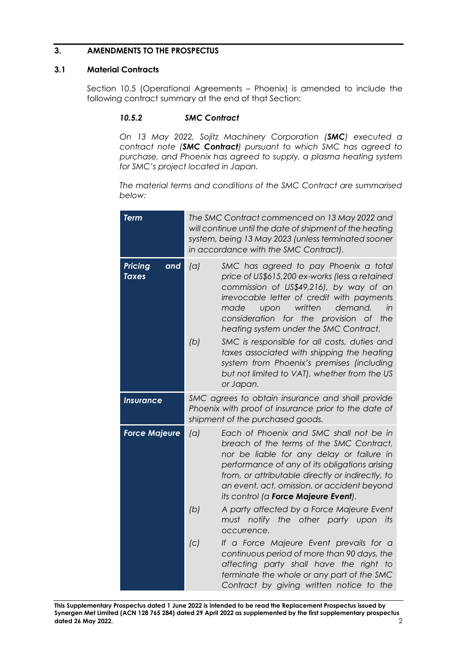# **3. AMENDMENTS TO THE PROSPECTUS**

## **3.1 Material Contracts**

Section 10.5 (Operational Agreements – Phoenix) is amended to include the following contract summary at the end of that Section:

## *10.5.2 SMC Contract*

*On 13 May 2022, Sojitz Machinery Corporation (SMC) executed a contract note (SMC Contract) pursuant to which SMC has agreed to purchase, and Phoenix has agreed to supply, a plasma heating system for SMC's project located in Japan.*

*The material terms and conditions of the SMC Contract are summarised below:*

| <b>Term</b>                           |            | The SMC Contract commenced on 13 May 2022 and<br>will continue until the date of shipment of the heating<br>system, being 13 May 2023 (unless terminated sooner<br>in accordance with the SMC Contract).                                                                                                                                                                                                                                                                                                                    |
|---------------------------------------|------------|-----------------------------------------------------------------------------------------------------------------------------------------------------------------------------------------------------------------------------------------------------------------------------------------------------------------------------------------------------------------------------------------------------------------------------------------------------------------------------------------------------------------------------|
| <b>Pricing</b><br>and<br><b>Taxes</b> | (a)<br>(b) | SMC has agreed to pay Phoenix a total<br>price of US\$615,200 ex-works (less a retained<br>commission of US\$49,216), by way of an<br>irrevocable letter of credit with payments<br>written<br>demand,<br>made<br>upon<br>in<br>consideration for the provision of<br>the<br>heating system under the SMC Contract.<br>SMC is responsible for all costs, duties and<br>taxes associated with shipping the heating<br>system from Phoenix's premises (including<br>but not limited to VAT), whether from the US<br>or Japan. |
| <i><u><b>Insurance</b></u></i>        |            | SMC agrees to obtain insurance and shall provide<br>Phoenix with proof of insurance prior to the date of<br>shipment of the purchased goods.                                                                                                                                                                                                                                                                                                                                                                                |
| <b>Force Majeure</b>                  | (a)        | Each of Phoenix and SMC shall not be in<br>breach of the terms of the SMC Contract,<br>nor be liable for any delay or failure in<br>performance of any of its obligations arising<br>from, or attributable directly or indirectly, to<br>an event, act, omission, or accident beyond<br>its control (a Force Majeure Event).                                                                                                                                                                                                |
|                                       | (b)        | A party affected by a Force Majeure Event<br>must notify the other party upon its<br>occurrence.                                                                                                                                                                                                                                                                                                                                                                                                                            |
|                                       | (C)        | If a Force Majeure Event prevails for a<br>continuous period of more than 90 days, the<br>affecting party shall have the right to<br>terminate the whole or any part of the SMC<br>Contract by giving written notice to the                                                                                                                                                                                                                                                                                                 |

**This Supplementary Prospectus dated 1 June 2022 is intended to be read the Replacement Prospectus issued by Synergen Met Limited (ACN 128 765 284) dated 29 April 2022 as supplemented by the first supplementary prospectus dated 26 May 2022.** 2